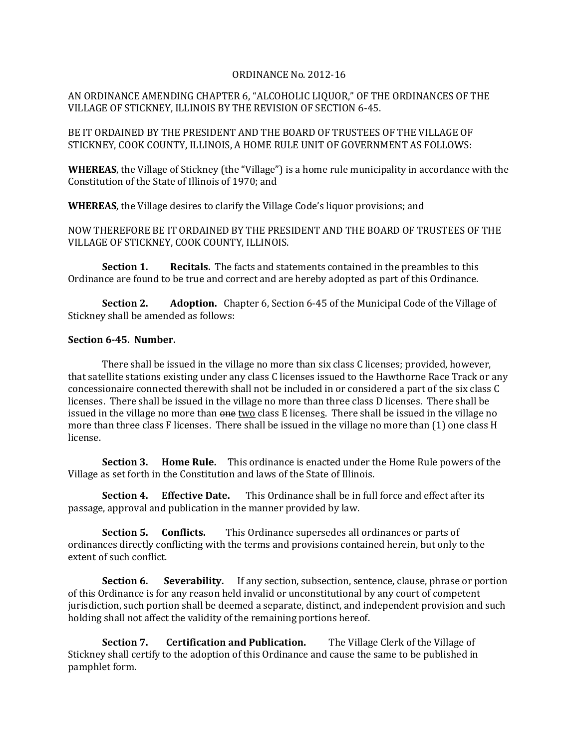## ORDINANCE No. 2012-16

## AN ORDINANCE AMENDING CHAPTER 6, "ALCOHOLIC LIQUOR," OF THE ORDINANCES OF THE VILLAGE OF STICKNEY, ILLINOIS BY THE REVISION OF SECTION 6-45.

BE IT ORDAINED BY THE PRESIDENT AND THE BOARD OF TRUSTEES OF THE VILLAGE OF STICKNEY, COOK COUNTY, ILLINOIS, A HOME RULE UNIT OF GOVERNMENT AS FOLLOWS:

**WHEREAS**, the Village of Stickney (the "Village") is a home rule municipality in accordance with the Constitution of the State of Illinois of 1970; and

**WHEREAS**, the Village desires to clarify the Village Code's liquor provisions; and

NOW THEREFORE BE IT ORDAINED BY THE PRESIDENT AND THE BOARD OF TRUSTEES OF THE VILLAGE OF STICKNEY, COOK COUNTY, ILLINOIS.

**Section 1. Recitals.** The facts and statements contained in the preambles to this Ordinance are found to be true and correct and are hereby adopted as part of this Ordinance.

**Section 2. Adoption.** Chapter 6, Section 6-45 of the Municipal Code of the Village of Stickney shall be amended as follows:

## **Section 6-45. Number.**

There shall be issued in the village no more than six class C licenses; provided, however, that satellite stations existing under any class C licenses issued to the Hawthorne Race Track or any concessionaire connected therewith shall not be included in or considered a part of the six class C licenses. There shall be issued in the village no more than three class D licenses. There shall be issued in the village no more than  $\theta$  one two class E licenses. There shall be issued in the village no more than three class F licenses. There shall be issued in the village no more than (1) one class H license.

**Section 3. Home Rule.** This ordinance is enacted under the Home Rule powers of the Village as set forth in the Constitution and laws of the State of Illinois.

**Section 4. Effective Date.** This Ordinance shall be in full force and effect after its passage, approval and publication in the manner provided by law.

**Section 5. Conflicts.** This Ordinance supersedes all ordinances or parts of ordinances directly conflicting with the terms and provisions contained herein, but only to the extent of such conflict.

**Section 6.** Severability. If any section, subsection, sentence, clause, phrase or portion of this Ordinance is for any reason held invalid or unconstitutional by any court of competent jurisdiction, such portion shall be deemed a separate, distinct, and independent provision and such holding shall not affect the validity of the remaining portions hereof.

**Section 7. Certification and Publication.** The Village Clerk of the Village of Stickney shall certify to the adoption of this Ordinance and cause the same to be published in pamphlet form.